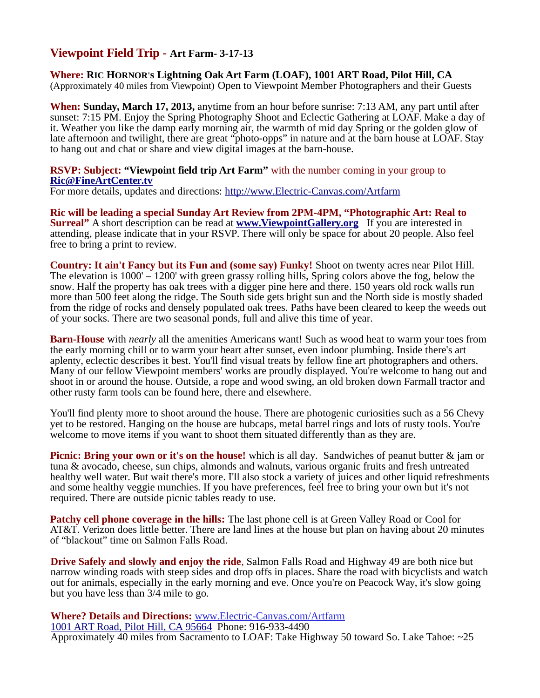## **Viewpoint Field Trip - Art Farm- 3-17-13**

**Where: RIC HORNOR's Lightning Oak Art Farm (LOAF), 1001 ART Road, Pilot Hill, CA** (Approximately 40 miles from Viewpoint) Open to Viewpoint Member Photographers and their Guests

**When: Sunday, March 17, 2013,** anytime from an hour before sunrise: 7:13 AM, any part until after sunset: 7:15 PM. Enjoy the Spring Photography Shoot and Eclectic Gathering at LOAF. Make a day of it. Weather you like the damp early morning air, the warmth of mid day Spring or the golden glow of late afternoon and twilight, there are great "photo-opps" in nature and at the barn house at LOAF. Stay to hang out and chat or share and view digital images at the barn-house.

## **RSVP: Subject: "Viewpoint field trip Art Farm"** with the number coming in your group to **[Ric@FineArtCenter.tv](mailto:Ric@FineArtCenter.tv)**

For more details, updates and directions:<http://www.Electric-Canvas.com/Artfarm>

**Ric will be leading a special Sunday Art Review from 2PM-4PM, "Photographic Art: Real to Surreal**" A short description can be read at **[www.ViewpointGallery.org](http://www.ViewpointGallery.org/)** If you are interested in attending, please indicate that in your RSVP. There will only be space for about 20 people. Also feel free to bring a print to review.

**Country: It ain't Fancy but its Fun and (some say) Funky!** Shoot on twenty acres near Pilot Hill. The elevation is 1000' – 1200' with green grassy rolling hills, Spring colors above the fog, below the snow. Half the property has oak trees with a digger pine here and there. 150 years old rock walls run more than 500 feet along the ridge. The South side gets bright sun and the North side is mostly shaded from the ridge of rocks and densely populated oak trees. Paths have been cleared to keep the weeds out of your socks. There are two seasonal ponds, full and alive this time of year.

**Barn-House** with *nearly* all the amenities Americans want! Such as wood heat to warm your toes from the early morning chill or to warm your heart after sunset, even indoor plumbing. Inside there's art aplenty, eclectic describes it best. You'll find visual treats by fellow fine art photographers and others. Many of our fellow Viewpoint members' works are proudly displayed. You're welcome to hang out and shoot in or around the house. Outside, a rope and wood swing, an old broken down Farmall tractor and other rusty farm tools can be found here, there and elsewhere.

You'll find plenty more to shoot around the house. There are photogenic curiosities such as a 56 Chevy yet to be restored. Hanging on the house are hubcaps, metal barrel rings and lots of rusty tools. You're welcome to move items if you want to shoot them situated differently than as they are.

**Picnic: Bring your own or it's on the house!** which is all day. Sandwiches of peanut butter  $\&$  jam or tuna & avocado, cheese, sun chips, almonds and walnuts, various organic fruits and fresh untreated healthy well water. But wait there's more. I'll also stock a variety of juices and other liquid refreshments and some healthy veggie munchies. If you have preferences, feel free to bring your own but it's not required. There are outside picnic tables ready to use.

**Patchy cell phone coverage in the hills:** The last phone cell is at Green Valley Road or Cool for AT&T. Verizon does little better. There are land lines at the house but plan on having about 20 minutes of "blackout" time on Salmon Falls Road.

**Drive Safely and slowly and enjoy the ride**, Salmon Falls Road and Highway 49 are both nice but narrow winding roads with steep sides and drop offs in places. Share the road with bicyclists and watch out for animals, especially in the early morning and eve. Once you're on Peacock Way, it's slow going but you have less than 3/4 mile to go.

**Where? Details and Directions:** [www.Electric-Canvas.com/Artfarm](http://www.Electric-Canvas.com/Artfarm) [1001 ART Road, Pilot Hill, CA 95664](http://maps.google.com/maps?oe=utf-8&rls=org.mozilla:en-US:official&client=firefox-a&q=1001+ART+Road,+Pilot+Hill,+CA+95664&um=1&ie=UTF-8&hq=&hnear=0x809b02799db8fa65:0x692be6045ddfec10,1001+Art+Rd,+Pilot+Hill,+CA+95664&gl=us&ei=28N3T7CNNfPZiQLP0_2nDg&sa=X&oi=geocode_result&ct=title&resnum=1&ved=0CCEQ8gEwAA) Phone: 916-933-4490

Approximately 40 miles from Sacramento to LOAF: Take Highway 50 toward So. Lake Tahoe: ~25